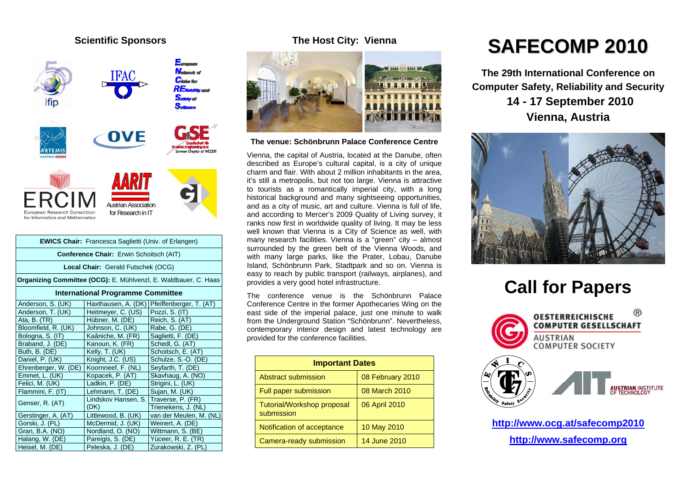## **Scientific Sponsors**



| <b>EWICS Chair:</b> Francesca Saglietti (Univ. of Erlangen) |                                                                 |                     |                                               |  |  |
|-------------------------------------------------------------|-----------------------------------------------------------------|---------------------|-----------------------------------------------|--|--|
| Conference Chair: Erwin Schoitsch (AIT)                     |                                                                 |                     |                                               |  |  |
|                                                             | Local Chair: Gerald Futschek (OCG)                              |                     |                                               |  |  |
|                                                             | Organizing Committee (OCG): E. Mühlvenzl, E. Waldbauer, C. Haas |                     |                                               |  |  |
| <b>International Programme Committee</b>                    |                                                                 |                     |                                               |  |  |
|                                                             | Anderson, S. (UK)                                               |                     | Haxthausen, A. (DK)   Pfeiffenberger, T. (AT) |  |  |
|                                                             | Anderson, T. (UK)                                               | Heitmeyer, C. (US)  | Pozzi, S. (IT)                                |  |  |
|                                                             | Ata, B. $(TR)$                                                  | Hübner, M. (DE)     | Reich, S. (AT)                                |  |  |
|                                                             | Bloomfield, R. (UK)                                             | Johnson, C. (UK)    | Rabe, G. (DE)                                 |  |  |
|                                                             | Bologna, S. (IT)                                                | Kaâniche, M. (FR)   | Saglietti, F. (DE)                            |  |  |
|                                                             | Braband, J. (DE)                                                | Kanoun, K. (FR)     | Schedl, G. (AT)                               |  |  |
|                                                             | Buth, B. (DE)                                                   | Kelly, T. (UK)      | Schoitsch, E. (AT)                            |  |  |
|                                                             | Daniel, P. (UK)                                                 | Knight, J.C. (US)   | Schulze, S.-O. (DE)                           |  |  |
|                                                             | Ehrenberger, W. (DE)                                            | Koornneef, F. (NL)  | Seyfarth, T. (DE)                             |  |  |
|                                                             | Emmet, L. (UK)                                                  | Kopacek, P. (AT)    | Skavhaug, A. (NO)                             |  |  |
|                                                             | Felici, M. (UK)                                                 | Ladkin, P. (DE)     | Strigini, L. (UK)                             |  |  |
|                                                             | Flammini, F. (IT)                                               | Lehmann, T. (DE)    | Sujan, M. (UK)                                |  |  |
|                                                             | Genser, R. (AT)                                                 | Lindskov Hansen, S. | Traverse, P. (FR)                             |  |  |
|                                                             |                                                                 | (DK)                | Trienekens, J. (NL)                           |  |  |
|                                                             | Gerstinger, A. (AT)                                             | Littlewood, B. (UK) | van der Meulen, M. (NL)                       |  |  |
|                                                             | Gorski, J. (PL)                                                 | McDermid, J. (UK)   | Weinert, A. (DE)                              |  |  |
|                                                             | Gran, B.A. (NO)                                                 | Nordland, O. (NO)   | Wittmann, S. (BE)                             |  |  |
|                                                             | Halang, W. (DE)                                                 | Pareigis, S. (DE)   | Yüceer, R. E. (TR)                            |  |  |
|                                                             | Heisel, M. (DE)                                                 | Peleska, J. (DE)    | Zurakowski, Z. (PL)                           |  |  |

## **The Host City: Vienna**



**The venue: Schönbrunn Palace Conference Centre** 

Vienna, the capital of Austria, located at the Danube, often described as Europe's cultural capital, is a city of unique charm and flair. With about 2 million inhabitants in the area, it's still a metropolis, but not too large. Vienna is attractive to tourists as a romantically imperial city, with a long historical background and many sightseeing opportunities, and as a city of music, art and culture. Vienna is full of life, and according to Mercer's 2009 Quality of Living survey, it ranks now first in worldwide quality of living. It may be less well known that Vienna is a City of Science as well, with many research facilities. Vienna is a "green" city – almost surrounded by the green belt of the Vienna Woods, and with many large parks, like the Prater, Lobau, Danube Island, Schönbrunn Park, Stadtpark and so on. Vienna is easy to reach by public transport (railways, airplanes), and provides a very good hotel infrastructure.

The conference venue is the Schönbrunn Palace Conference Centre in the former Apothecaries Wing on the east side of the imperial palace, just one minute to walk from the Underground Station "Schönbrunn". Nevertheless, contemporary interior design and latest technology are provided for the conference facilities.

| <b>Important Dates</b>                   |                  |  |
|------------------------------------------|------------------|--|
| Abstract submission                      | 08 February 2010 |  |
| Full paper submission                    | 08 March 2010    |  |
| Tutorial/Workshop proposal<br>submission | 06 April 2010    |  |
| Notification of acceptance               | 10 May 2010      |  |
| Camera-ready submission                  | 14 June 2010     |  |

## **SAFECOMP 2010**

**The 29th International Conference on Computer Safety, Reliability and Security 14 - 17 September 2010 Vienna, Austria** 



## **Call for Papers**



**http://www.ocg.at/safecomp2010 http://www.safecomp.org**